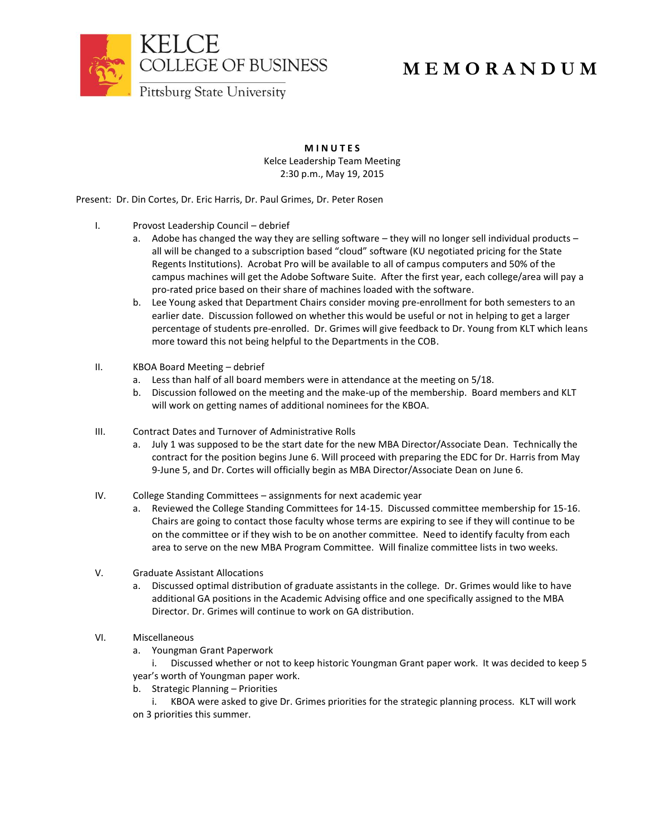

## **M E M O R A N D U M**

**M I N U T E S** Kelce Leadership Team Meeting 2:30 p.m., May 19, 2015

Present: Dr. Din Cortes, Dr. Eric Harris, Dr. Paul Grimes, Dr. Peter Rosen

- I. Provost Leadership Council debrief
	- a. Adobe has changed the way they are selling software they will no longer sell individual products all will be changed to a subscription based "cloud" software (KU negotiated pricing for the State Regents Institutions). Acrobat Pro will be available to all of campus computers and 50% of the campus machines will get the Adobe Software Suite. After the first year, each college/area will pay a pro-rated price based on their share of machines loaded with the software.
	- b. Lee Young asked that Department Chairs consider moving pre-enrollment for both semesters to an earlier date. Discussion followed on whether this would be useful or not in helping to get a larger percentage of students pre-enrolled. Dr. Grimes will give feedback to Dr. Young from KLT which leans more toward this not being helpful to the Departments in the COB.
- II. KBOA Board Meeting debrief
	- a. Less than half of all board members were in attendance at the meeting on 5/18.
	- b. Discussion followed on the meeting and the make-up of the membership. Board members and KLT will work on getting names of additional nominees for the KBOA.
- III. Contract Dates and Turnover of Administrative Rolls
	- a. July 1 was supposed to be the start date for the new MBA Director/Associate Dean. Technically the contract for the position begins June 6. Will proceed with preparing the EDC for Dr. Harris from May 9-June 5, and Dr. Cortes will officially begin as MBA Director/Associate Dean on June 6.
- IV. College Standing Committees assignments for next academic year
	- a. Reviewed the College Standing Committees for 14-15. Discussed committee membership for 15-16. Chairs are going to contact those faculty whose terms are expiring to see if they will continue to be on the committee or if they wish to be on another committee. Need to identify faculty from each area to serve on the new MBA Program Committee. Will finalize committee lists in two weeks.
- V. Graduate Assistant Allocations
	- a. Discussed optimal distribution of graduate assistants in the college. Dr. Grimes would like to have additional GA positions in the Academic Advising office and one specifically assigned to the MBA Director. Dr. Grimes will continue to work on GA distribution.
- VI. Miscellaneous
	- a. Youngman Grant Paperwork

i. Discussed whether or not to keep historic Youngman Grant paper work. It was decided to keep 5 year's worth of Youngman paper work.

b. Strategic Planning – Priorities

i. KBOA were asked to give Dr. Grimes priorities for the strategic planning process. KLT will work on 3 priorities this summer.